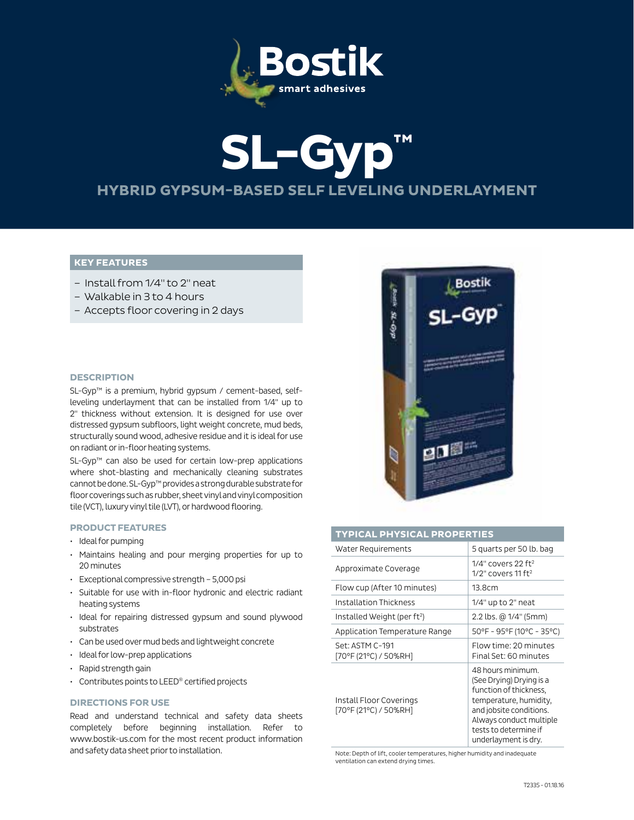

# **SL-Gyp™ HYBRID GYPSUM-BASED SELF LEVELING UNDERLAYMENT**

# **KEY FEATURES**

- Install from 1/4" to 2" neat
- Walkable in 3 to 4 hours
- Accepts floor covering in 2 days

## **DESCRIPTION**

SL-Gyp™ is a premium, hybrid gypsum / cement-based, selfleveling underlayment that can be installed from 1/4" up to 2" thickness without extension. It is designed for use over distressed gypsum subfloors, light weight concrete, mud beds, structurally sound wood, adhesive residue and it is ideal for use on radiant or in-floor heating systems.

SL-Gyp™ can also be used for certain low-prep applications where shot-blasting and mechanically cleaning substrates cannot be done. SL-Gyp™ provides a strong durable substrate for floor coverings such as rubber, sheet vinyl and vinyl composition tile (VCT), luxury vinyl tile (LVT), or hardwood flooring.

#### **PRODUCT FEATURES**

- Ideal for pumping
- Maintains healing and pour merging properties for up to 20 minutes
- Exceptional compressive strength 5,000 psi
- Suitable for use with in-floor hydronic and electric radiant heating systems
- Ideal for repairing distressed gypsum and sound plywood substrates
- Can be used over mud beds and lightweight concrete
- Ideal for low-prep applications
- Rapid strength gain
- Contributes points to LEED® certified projects

## **DIRECTIONS FOR USE**

Read and understand technical and safety data sheets completely before beginning installation. Refer to www.bostik-us.com for the most recent product information and safety data sheet prior to installation.



## **TYPICAL PHYSICAL PROPERTIES**

| Water Requirements                               | 5 quarts per 50 lb. bag                                                                                                                                                                                  |  |  |  |
|--------------------------------------------------|----------------------------------------------------------------------------------------------------------------------------------------------------------------------------------------------------------|--|--|--|
| Approximate Coverage                             | $1/4"$ covers 22 ft <sup>2</sup><br>$1/2$ " covers $11$ ft <sup>2</sup>                                                                                                                                  |  |  |  |
| Flow cup (After 10 minutes)                      | 13.8cm                                                                                                                                                                                                   |  |  |  |
| Installation Thickness                           | $1/4"$ up to $2"$ neat                                                                                                                                                                                   |  |  |  |
| Installed Weight (per ft <sup>2</sup> )          | 2.2 lbs. @ 1/4" (5mm)                                                                                                                                                                                    |  |  |  |
| Application Temperature Range                    | 50°F - 95°F (10°C - 35°C)                                                                                                                                                                                |  |  |  |
| Set: ASTM C-191<br>[70°F (21°C) / 50%RH]         | Flow time: 20 minutes<br>Final Set: 60 minutes                                                                                                                                                           |  |  |  |
| Install Floor Coverings<br>[70°F (21°C) / 50%RH] | 48 hours minimum.<br>(See Drying) Drying is a<br>function of thickness,<br>temperature, humidity,<br>and jobsite conditions.<br>Always conduct multiple<br>tests to determine if<br>underlayment is dry. |  |  |  |

Note: Depth of lift, cooler temperatures, higher humidity and inadequate ventilation can extend drying times.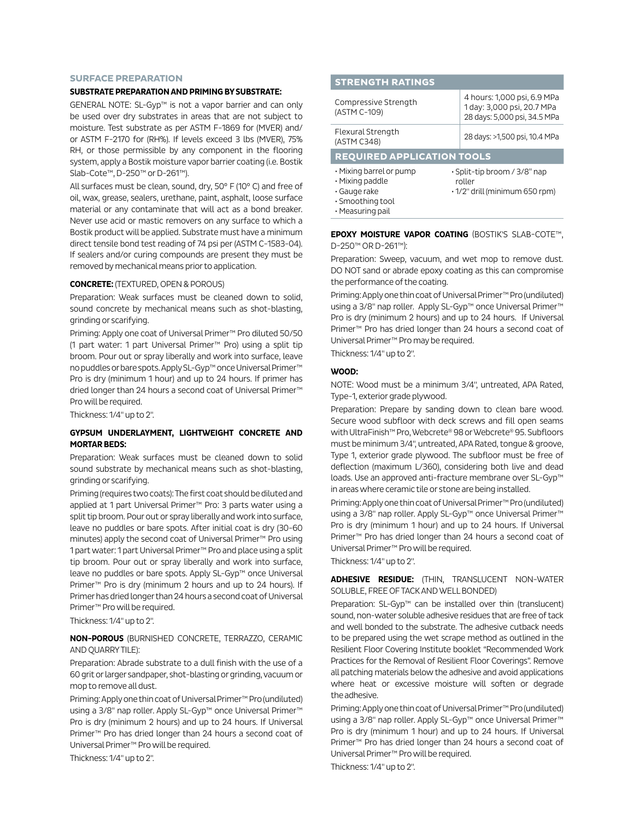#### **SURFACE PREPARATION**

## **SUBSTRATE PREPARATION AND PRIMING BY SUBSTRATE:**

GENERAL NOTE: SL-Gyp™ is not a vapor barrier and can only be used over dry substrates in areas that are not subject to moisture. Test substrate as per ASTM F-1869 for (MVER) and/ or ASTM F-2170 for (RH%). If levels exceed 3 lbs (MVER), 75% RH, or those permissible by any component in the flooring system, apply a Bostik moisture vapor barrier coating (i.e. Bostik Slab-Cote™, D-250™ or D-261™).

All surfaces must be clean, sound, dry, 50° F (10° C) and free of oil, wax, grease, sealers, urethane, paint, asphalt, loose surface material or any contaminate that will act as a bond breaker. Never use acid or mastic removers on any surface to which a Bostik product will be applied. Substrate must have a minimum direct tensile bond test reading of 74 psi per (ASTM C-1583-04). If sealers and/or curing compounds are present they must be removed by mechanical means prior to application.

#### **CONCRETE:** (TEXTURED, OPEN & POROUS)

Preparation: Weak surfaces must be cleaned down to solid, sound concrete by mechanical means such as shot-blasting, grinding or scarifying.

Priming: Apply one coat of Universal Primer™ Pro diluted 50/50 (1 part water: 1 part Universal Primer™ Pro) using a split tip broom. Pour out or spray liberally and work into surface, leave no puddles or bare spots. Apply SL-Gyp™ once Universal Primer™ Pro is dry (minimum 1 hour) and up to 24 hours. If primer has dried longer than 24 hours a second coat of Universal Primer™ Pro will be required.

Thickness: 1/4" up to 2".

## **GYPSUM UNDERLAYMENT, LIGHTWEIGHT CONCRETE AND MORTAR BEDS:**

Preparation: Weak surfaces must be cleaned down to solid sound substrate by mechanical means such as shot-blasting, grinding or scarifying.

Priming (requires two coats): The first coat should be diluted and applied at 1 part Universal Primer™ Pro: 3 parts water using a split tip broom. Pour out or spray liberally and work into surface, leave no puddles or bare spots. After initial coat is dry (30-60 minutes) apply the second coat of Universal Primer™ Pro using 1 part water: 1 part Universal Primer™ Pro and place using a split tip broom. Pour out or spray liberally and work into surface, leave no puddles or bare spots. Apply SL-Gyp™ once Universal Primer™ Pro is dry (minimum 2 hours and up to 24 hours). If Primer has dried longer than 24 hours a second coat of Universal Primer™ Pro will be required.

Thickness: 1/4" up to 2".

## **NON-POROUS** (BURNISHED CONCRETE, TERRAZZO, CERAMIC AND QUARRY TILE):

Preparation: Abrade substrate to a dull finish with the use of a 60 grit or larger sandpaper, shot-blasting or grinding, vacuum or mop to remove all dust.

Priming: Apply one thin coat of Universal Primer™ Pro (undiluted) using a 3/8" nap roller. Apply SL-Gyp™ once Universal Primer™ Pro is dry (minimum 2 hours) and up to 24 hours. If Universal Primer™ Pro has dried longer than 24 hours a second coat of Universal Primer™ Pro will be required.

Thickness: 1/4" up to 2".

# **STRENGTH RATINGS**

| Compressive Strength<br>(ASTM C-109) | 4 hours: 1,000 psi, 6.9 MPa<br>1 day: 3,000 psi, 20.7 MPa<br>28 days: 5,000 psi, 34.5 MPa |  |  |  |  |  |
|--------------------------------------|-------------------------------------------------------------------------------------------|--|--|--|--|--|
| Flexural Strength<br>(ASTM C348)     | 28 days: >1,500 psi, 10.4 MPa                                                             |  |  |  |  |  |
| <b>REQUIRED APPLICATION TOOLS</b>    |                                                                                           |  |  |  |  |  |
|                                      |                                                                                           |  |  |  |  |  |

• Measuring pail

**EPOXY MOISTURE VAPOR COATING** (BOSTIK'S SLAB-COTE™, D-250™ OR D-261™):

Preparation: Sweep, vacuum, and wet mop to remove dust. DO NOT sand or abrade epoxy coating as this can compromise the performance of the coating.

Priming: Apply one thin coat of Universal Primer™ Pro (undiluted) using a 3/8" nap roller. Apply SL-Gyp™ once Universal Primer™ Pro is dry (minimum 2 hours) and up to 24 hours. If Universal Primer™ Pro has dried longer than 24 hours a second coat of Universal Primer™ Pro may be required.

Thickness: 1/4" up to 2".

#### **WOOD:**

NOTE: Wood must be a minimum 3/4", untreated, APA Rated, Type-1, exterior grade plywood.

Preparation: Prepare by sanding down to clean bare wood. Secure wood subfloor with deck screws and fill open seams with UltraFinish™ Pro, Webcrete® 98 or Webcrete® 95. Subfloors must be minimum 3/4", untreated, APA Rated, tongue & groove, Type 1, exterior grade plywood. The subfloor must be free of deflection (maximum L/360), considering both live and dead loads. Use an approved anti-fracture membrane over SL-Gyp™ in areas where ceramic tile or stone are being installed.

Priming: Apply one thin coat of Universal Primer™ Pro (undiluted) using a 3/8" nap roller. Apply SL-Gyp™ once Universal Primer™ Pro is dry (minimum 1 hour) and up to 24 hours. If Universal Primer™ Pro has dried longer than 24 hours a second coat of Universal Primer™ Pro will be required.

Thickness: 1/4" up to 2".

## **ADHESIVE RESIDUE:** (THIN, TRANSLUCENT NON-WATER SOLUBLE, FREE OF TACK AND WELL BONDED)

Preparation: SL-Gyp™ can be installed over thin (translucent) sound, non-water soluble adhesive residues that are free of tack and well bonded to the substrate. The adhesive cutback needs to be prepared using the wet scrape method as outlined in the Resilient Floor Covering Institute booklet "Recommended Work Practices for the Removal of Resilient Floor Coverings". Remove all patching materials below the adhesive and avoid applications where heat or excessive moisture will soften or degrade the adhesive.

Priming: Apply one thin coat of Universal Primer™ Pro (undiluted) using a 3/8" nap roller. Apply SL-Gyp™ once Universal Primer™ Pro is dry (minimum 1 hour) and up to 24 hours. If Universal Primer™ Pro has dried longer than 24 hours a second coat of Universal Primer™ Pro will be required.

Thickness: 1/4" up to 2".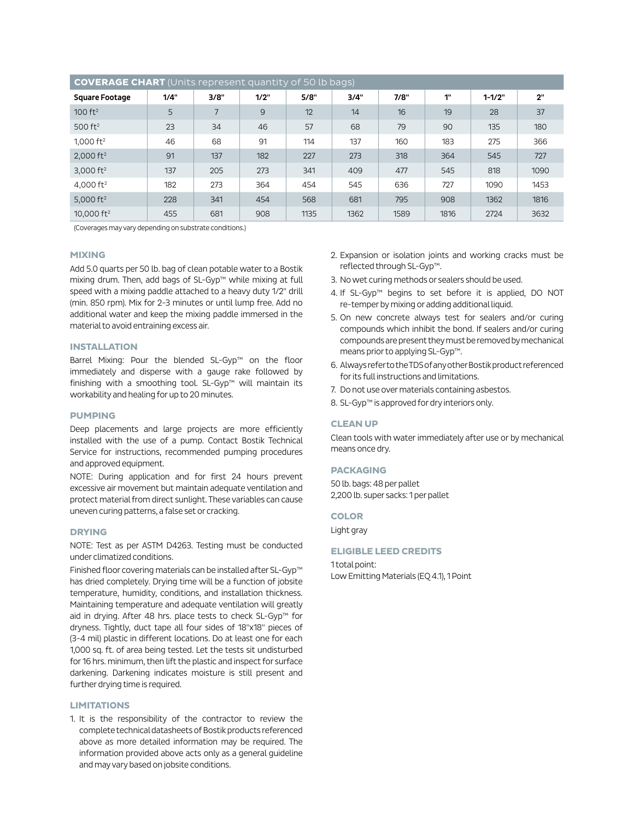| <b>COVERAGE CHART</b> (Units represent quantity of 50 lb bags) |      |      |                |      |      |      |      |            |      |  |
|----------------------------------------------------------------|------|------|----------------|------|------|------|------|------------|------|--|
| <b>Square Footage</b>                                          | 1/4" | 3/8" | 1/2"           | 5/8" | 3/4" | 7/8" | 1"   | $1 - 1/2"$ | 2"   |  |
| $100 \text{ ft}^2$                                             | 5    | 7    | $\overline{9}$ | 12   | 14   | 16   | 19   | 28         | 37   |  |
| $500$ ft <sup>2</sup>                                          | 23   | 34   | 46             | 57   | 68   | 79   | 90   | 135        | 180  |  |
| 1,000 $ft^2$                                                   | 46   | 68   | 91             | 114  | 137  | 160  | 183  | 275        | 366  |  |
| $2,000$ ft <sup>2</sup>                                        | 91   | 137  | 182            | 227  | 273  | 318  | 364  | 545        | 727  |  |
| 3,000 $ft^2$                                                   | 137  | 205  | 273            | 341  | 409  | 477  | 545  | 818        | 1090 |  |
| 4,000 $ft^2$                                                   | 182  | 273  | 364            | 454  | 545  | 636  | 727  | 1090       | 1453 |  |
| 5,000 $ft2$                                                    | 228  | 341  | 454            | 568  | 681  | 795  | 908  | 1362       | 1816 |  |
| 10,000 $ft2$                                                   | 455  | 681  | 908            | 1135 | 1362 | 1589 | 1816 | 2724       | 3632 |  |

(Coverages may vary depending on substrate conditions.)

## **MIXING**

Add 5.0 quarts per 50 lb. bag of clean potable water to a Bostik mixing drum. Then, add bags of SL-Gyp™ while mixing at full speed with a mixing paddle attached to a heavy duty 1/2" drill (min. 850 rpm). Mix for 2-3 minutes or until lump free. Add no additional water and keep the mixing paddle immersed in the material to avoid entraining excess air.

## **INSTALLATION**

Barrel Mixing: Pour the blended SL-Gyp™ on the floor immediately and disperse with a gauge rake followed by finishing with a smoothing tool. SL-Gyp™ will maintain its workability and healing for up to 20 minutes.

## **PUMPING**

Deep placements and large projects are more efficiently installed with the use of a pump. Contact Bostik Technical Service for instructions, recommended pumping procedures and approved equipment.

NOTE: During application and for first 24 hours prevent excessive air movement but maintain adequate ventilation and protect material from direct sunlight. These variables can cause uneven curing patterns, a false set or cracking.

#### **DRYING**

NOTE: Test as per ASTM D4263. Testing must be conducted under climatized conditions.

Finished floor covering materials can be installed after SL-Gyp™ has dried completely. Drying time will be a function of jobsite temperature, humidity, conditions, and installation thickness. Maintaining temperature and adequate ventilation will greatly aid in drying. After 48 hrs. place tests to check SL-Gyp™ for dryness. Tightly, duct tape all four sides of 18"x18" pieces of (3-4 mil) plastic in different locations. Do at least one for each 1,000 sq. ft. of area being tested. Let the tests sit undisturbed for 16 hrs. minimum, then lift the plastic and inspect for surface darkening. Darkening indicates moisture is still present and further drying time is required.

#### **LIMITATIONS**

1. It is the responsibility of the contractor to review the complete technical datasheets of Bostik products referenced above as more detailed information may be required. The information provided above acts only as a general guideline and may vary based on jobsite conditions.

- 2. Expansion or isolation joints and working cracks must be reflected through SL-Gyp™.
- 3. No wet curing methods or sealers should be used.
- 4. If SL-Gyp™ begins to set before it is applied, DO NOT re-temper by mixing or adding additional liquid.
- 5. On new concrete always test for sealers and/or curing compounds which inhibit the bond. If sealers and/or curing compounds are present they must be removed by mechanical means prior to applying SL-Gyp™.
- 6. Always refer to the TDS of any other Bostik product referenced for its full instructions and limitations.
- 7. Do not use over materials containing asbestos.
- 8. SL-Gyp™ is approved for dry interiors only.

#### **CLEAN UP**

Clean tools with water immediately after use or by mechanical means once dry.

## **PACKAGING**

50 lb. bags: 48 per pallet 2,200 lb. super sacks: 1 per pallet

#### **COLOR**

Light gray

## **ELIGIBLE LEED CREDITS**

1 total point: Low Emitting Materials (EQ 4.1), 1 Point